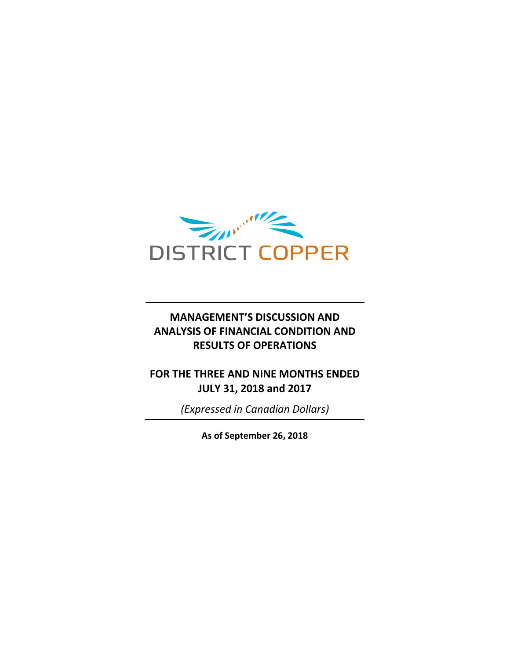

## **MANAGEMENT'S DISCUSSION AND ANALYSIS OF FINANCIAL CONDITION AND RESULTS OF OPERATIONS**

**FOR THE THREE AND NINE MONTHS ENDED JULY 31, 2018 and 2017**

*(Expressed in Canadian Dollars)*

**As of September 26, 2018**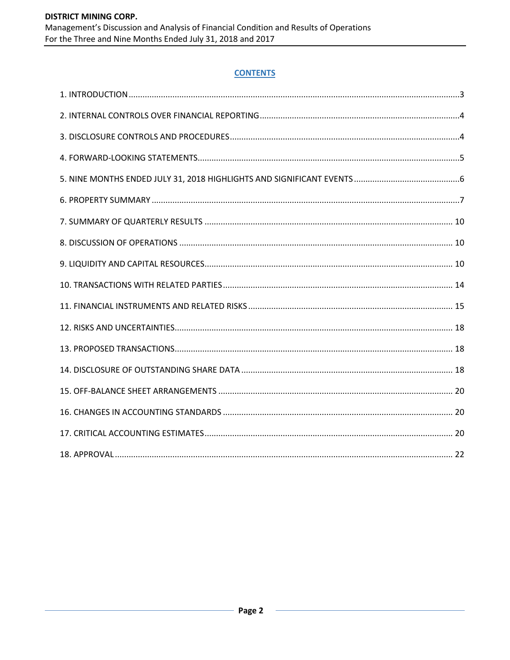## **CONTENTS**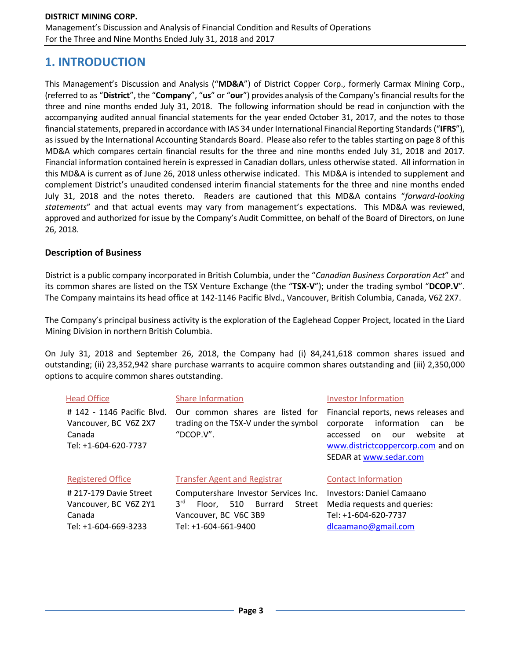## **1. INTRODUCTION**

This Management's Discussion and Analysis ("**MD&A**") of District Copper Corp., formerly Carmax Mining Corp., (referred to as "**District**", the "**Company**", "**us**" or "**our**") provides analysis of the Company's financial results for the three and nine months ended July 31, 2018. The following information should be read in conjunction with the accompanying audited annual financial statements for the year ended October 31, 2017, and the notes to those financial statements, prepared in accordance with IAS 34 under International Financial Reporting Standards ("IFRS"), as issued by the International Accounting Standards Board. Please also refer to the tables starting on page 8 of this MD&A which compares certain financial results for the three and nine months ended July 31, 2018 and 2017. Financial information contained herein is expressed in Canadian dollars, unless otherwise stated. All information in this MD&A is current as of June 26, 2018 unless otherwise indicated. This MD&A is intended to supplement and complement District's unaudited condensed interim financial statements for the three and nine months ended July 31, 2018 and the notes thereto. Readers are cautioned that this MD&A contains "*forward-looking statements*" and that actual events may vary from management's expectations. This MD&A was reviewed, approved and authorized for issue by the Company's Audit Committee, on behalf of the Board of Directors, on June 26, 2018.

#### **Description of Business**

District is a public company incorporated in British Columbia, under the "*Canadian Business Corporation Act*" and its common shares are listed on the TSX Venture Exchange (the "**TSX-V**"); under the trading symbol "**DCOP.V**". The Company maintains its head office at 142-1146 Pacific Blvd., Vancouver, British Columbia, Canada, V6Z 2X7.

The Company's principal business activity is the exploration of the Eaglehead Copper Project, located in the Liard Mining Division in northern British Columbia.

On July 31, 2018 and September 26, 2018, the Company had (i) 84,241,618 common shares issued and outstanding; (ii) 23,352,942 share purchase warrants to acquire common shares outstanding and (iii) 2,350,000 options to acquire common shares outstanding.

| <b>Head Office</b>                                                                    | <b>Share Information</b><br><b>Investor Information</b>                                                                                            |                                                                                                                                                                                        |  |  |  |  |  |
|---------------------------------------------------------------------------------------|----------------------------------------------------------------------------------------------------------------------------------------------------|----------------------------------------------------------------------------------------------------------------------------------------------------------------------------------------|--|--|--|--|--|
| # 142 - 1146 Pacific Blvd.<br>Vancouver, BC V6Z 2X7<br>Canada<br>Tel: +1-604-620-7737 | Our common shares are listed for<br>trading on the TSX-V under the symbol<br>"DCOP.V".                                                             | Financial reports, news releases and<br>information<br>corporate<br>be<br>can<br>website<br>accessed<br>our<br>at<br>on<br>www.districtcoppercorp.com and on<br>SEDAR at www.sedar.com |  |  |  |  |  |
| <b>Registered Office</b>                                                              | <b>Transfer Agent and Registrar</b>                                                                                                                | <b>Contact Information</b>                                                                                                                                                             |  |  |  |  |  |
| #217-179 Davie Street<br>Vancouver, BC V6Z 2Y1<br>Canada<br>Tel: +1-604-669-3233      | Computershare Investor Services Inc.<br>3 <sup>rd</sup><br><b>Burrard</b><br>Floor, 510<br>Street<br>Vancouver, BC V6C 3B9<br>Tel: +1-604-661-9400 | Investors: Daniel Camaano<br>Media requests and queries:<br>Tel: +1-604-620-7737<br>dlcaamano@gmail.com                                                                                |  |  |  |  |  |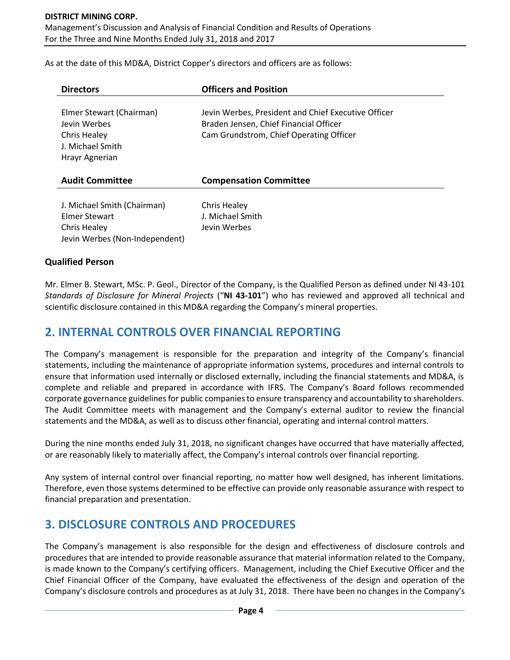# **DISTRICT MINING CORP.**

Management's Discussion and Analysis of Financial Condition and Results of Operations For the Three and Nine Months Ended July 31, 2018 and 2017

As at the date of this MD&A, District Copper's directors and officers are as follows:

| <b>Directors</b>                                                                               | <b>Officers and Position</b>                                                                                                             |
|------------------------------------------------------------------------------------------------|------------------------------------------------------------------------------------------------------------------------------------------|
| Elmer Stewart (Chairman)<br>Jevin Werbes<br>Chris Healey<br>J. Michael Smith<br>Hrayr Agnerian | Jevin Werbes, President and Chief Executive Officer<br>Braden Jensen, Chief Financial Officer<br>Cam Grundstrom, Chief Operating Officer |
| <b>Audit Committee</b>                                                                         | <b>Compensation Committee</b>                                                                                                            |
| J. Michael Smith (Chairman)<br>Elmer Stewart<br>Chris Healey<br>Jevin Werbes (Non-Independent) | Chris Healey<br>J. Michael Smith<br>Jevin Werbes                                                                                         |

## **Qualified Person**

Mr. Elmer B. Stewart, MSc. P. Geol., Director of the Company, is the Qualified Person as defined under NI 43-101 *Standards of Disclosure for Mineral Projects* ("**NI 43-101**") who has reviewed and approved all technical and scientific disclosure contained in this MD&A regarding the Company's mineral properties.

## **2. INTERNAL CONTROLS OVER FINANCIAL REPORTING**

The Company's management is responsible for the preparation and integrity of the Company's financial statements, including the maintenance of appropriate information systems, procedures and internal controls to ensure that information used internally or disclosed externally, including the financial statements and MD&A, is complete and reliable and prepared in accordance with IFRS. The Company's Board follows recommended corporate governance guidelines for public companies to ensure transparency and accountability to shareholders. The Audit Committee meets with management and the Company's external auditor to review the financial statements and the MD&A, as well as to discuss other financial, operating and internal control matters.

During the nine months ended July 31, 2018, no significant changes have occurred that have materially affected, or are reasonably likely to materially affect, the Company's internal controls over financial reporting.

Any system of internal control over financial reporting, no matter how well designed, has inherent limitations. Therefore, even those systems determined to be effective can provide only reasonable assurance with respect to financial preparation and presentation.

## **3. DISCLOSURE CONTROLS AND PROCEDURES**

The Company's management is also responsible for the design and effectiveness of disclosure controls and procedures that are intended to provide reasonable assurance that material information related to the Company, is made known to the Company's certifying officers. Management, including the Chief Executive Officer and the Chief Financial Officer of the Company, have evaluated the effectiveness of the design and operation of the Company's disclosure controls and procedures as at July 31, 2018. There have been no changes in the Company's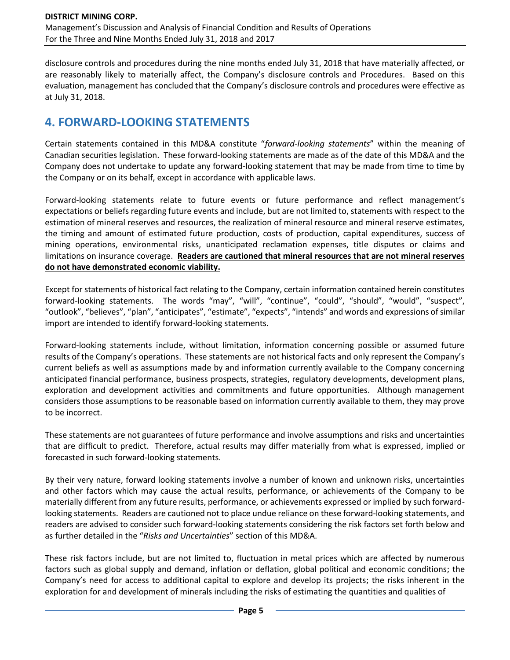disclosure controls and procedures during the nine months ended July 31, 2018 that have materially affected, or are reasonably likely to materially affect, the Company's disclosure controls and Procedures. Based on this evaluation, management has concluded that the Company's disclosure controls and procedures were effective as at July 31, 2018.

# **4. FORWARD-LOOKING STATEMENTS**

Certain statements contained in this MD&A constitute "*forward-looking statements*" within the meaning of Canadian securities legislation. These forward-looking statements are made as of the date of this MD&A and the Company does not undertake to update any forward-looking statement that may be made from time to time by the Company or on its behalf, except in accordance with applicable laws.

Forward-looking statements relate to future events or future performance and reflect management's expectations or beliefs regarding future events and include, but are not limited to, statements with respect to the estimation of mineral reserves and resources, the realization of mineral resource and mineral reserve estimates, the timing and amount of estimated future production, costs of production, capital expenditures, success of mining operations, environmental risks, unanticipated reclamation expenses, title disputes or claims and limitations on insurance coverage. **Readers are cautioned that mineral resources that are not mineral reserves do not have demonstrated economic viability.**

Except for statements of historical fact relating to the Company, certain information contained herein constitutes forward-looking statements. The words "may", "will", "continue", "could", "should", "would", "suspect", "outlook", "believes", "plan", "anticipates", "estimate", "expects", "intends" and words and expressions of similar import are intended to identify forward-looking statements.

Forward-looking statements include, without limitation, information concerning possible or assumed future results of the Company's operations. These statements are not historical facts and only represent the Company's current beliefs as well as assumptions made by and information currently available to the Company concerning anticipated financial performance, business prospects, strategies, regulatory developments, development plans, exploration and development activities and commitments and future opportunities. Although management considers those assumptions to be reasonable based on information currently available to them, they may prove to be incorrect.

These statements are not guarantees of future performance and involve assumptions and risks and uncertainties that are difficult to predict. Therefore, actual results may differ materially from what is expressed, implied or forecasted in such forward-looking statements.

By their very nature, forward looking statements involve a number of known and unknown risks, uncertainties and other factors which may cause the actual results, performance, or achievements of the Company to be materially different from any future results, performance, or achievements expressed or implied by such forwardlooking statements. Readers are cautioned not to place undue reliance on these forward-looking statements, and readers are advised to consider such forward-looking statements considering the risk factors set forth below and as further detailed in the "*Risks and Uncertainties*" section of this MD&A.

These risk factors include, but are not limited to, fluctuation in metal prices which are affected by numerous factors such as global supply and demand, inflation or deflation, global political and economic conditions; the Company's need for access to additional capital to explore and develop its projects; the risks inherent in the exploration for and development of minerals including the risks of estimating the quantities and qualities of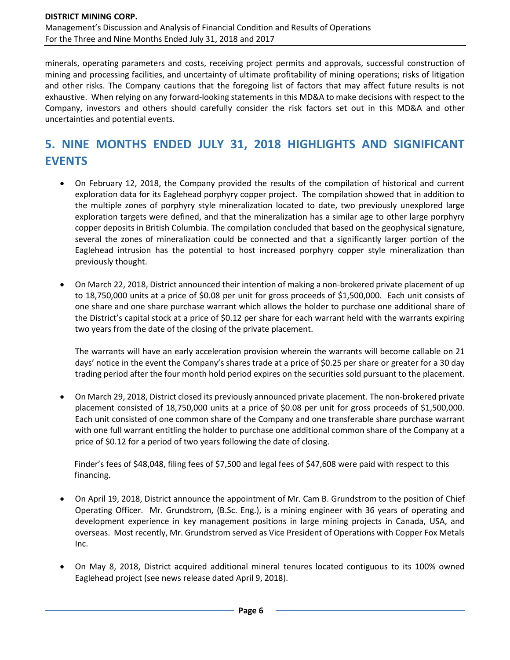minerals, operating parameters and costs, receiving project permits and approvals, successful construction of mining and processing facilities, and uncertainty of ultimate profitability of mining operations; risks of litigation and other risks. The Company cautions that the foregoing list of factors that may affect future results is not exhaustive. When relying on any forward-looking statements in this MD&A to make decisions with respect to the Company, investors and others should carefully consider the risk factors set out in this MD&A and other uncertainties and potential events.

# **5. NINE MONTHS ENDED JULY 31, 2018 HIGHLIGHTS AND SIGNIFICANT EVENTS**

- On February 12, 2018, the Company provided the results of the compilation of historical and current exploration data for its Eaglehead porphyry copper project. The compilation showed that in addition to the multiple zones of porphyry style mineralization located to date, two previously unexplored large exploration targets were defined, and that the mineralization has a similar age to other large porphyry copper deposits in British Columbia. The compilation concluded that based on the geophysical signature, several the zones of mineralization could be connected and that a significantly larger portion of the Eaglehead intrusion has the potential to host increased porphyry copper style mineralization than previously thought.
- On March 22, 2018, District announced their intention of making a non-brokered private placement of up to 18,750,000 units at a price of \$0.08 per unit for gross proceeds of \$1,500,000. Each unit consists of one share and one share purchase warrant which allows the holder to purchase one additional share of the District's capital stock at a price of \$0.12 per share for each warrant held with the warrants expiring two years from the date of the closing of the private placement.

The warrants will have an early acceleration provision wherein the warrants will become callable on 21 days' notice in the event the Company's shares trade at a price of \$0.25 per share or greater for a 30 day trading period after the four month hold period expires on the securities sold pursuant to the placement.

• On March 29, 2018, District closed its previously announced private placement. The non-brokered private placement consisted of 18,750,000 units at a price of \$0.08 per unit for gross proceeds of \$1,500,000. Each unit consisted of one common share of the Company and one transferable share purchase warrant with one full warrant entitling the holder to purchase one additional common share of the Company at a price of \$0.12 for a period of two years following the date of closing.

Finder's fees of \$48,048, filing fees of \$7,500 and legal fees of \$47,608 were paid with respect to this financing.

- On April 19, 2018, District announce the appointment of Mr. Cam B. Grundstrom to the position of Chief Operating Officer. Mr. Grundstrom, (B.Sc. Eng.), is a mining engineer with 36 years of operating and development experience in key management positions in large mining projects in Canada, USA, and overseas. Most recently, Mr. Grundstrom served as Vice President of Operations with Copper Fox Metals Inc.
- On May 8, 2018, District acquired additional mineral tenures located contiguous to its 100% owned Eaglehead project (see news release dated April 9, 2018).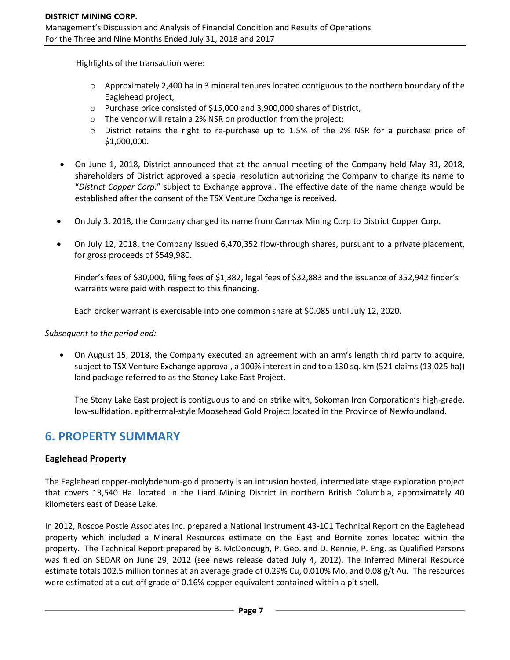Highlights of the transaction were:

- $\circ$  Approximately 2,400 ha in 3 mineral tenures located contiguous to the northern boundary of the Eaglehead project,
- o Purchase price consisted of \$15,000 and 3,900,000 shares of District,
- o The vendor will retain a 2% NSR on production from the project;
- o District retains the right to re-purchase up to 1.5% of the 2% NSR for a purchase price of \$1,000,000.
- On June 1, 2018, District announced that at the annual meeting of the Company held May 31, 2018, shareholders of District approved a special resolution authorizing the Company to change its name to "*District Copper Corp.*" subject to Exchange approval. The effective date of the name change would be established after the consent of the TSX Venture Exchange is received.
- On July 3, 2018, the Company changed its name from Carmax Mining Corp to District Copper Corp.
- On July 12, 2018, the Company issued 6,470,352 flow-through shares, pursuant to a private placement, for gross proceeds of \$549,980.

Finder's fees of \$30,000, filing fees of \$1,382, legal fees of \$32,883 and the issuance of 352,942 finder's warrants were paid with respect to this financing.

Each broker warrant is exercisable into one common share at \$0.085 until July 12, 2020.

*Subsequent to the period end:*

• On August 15, 2018, the Company executed an agreement with an arm's length third party to acquire, subject to TSX Venture Exchange approval, a 100% interest in and to a 130 sq. km (521 claims (13,025 ha)) land package referred to as the Stoney Lake East Project.

The Stony Lake East project is contiguous to and on strike with, Sokoman Iron Corporation's high-grade, low-sulfidation, epithermal-style Moosehead Gold Project located in the Province of Newfoundland.

## **6. PROPERTY SUMMARY**

### **Eaglehead Property**

The Eaglehead copper-molybdenum-gold property is an intrusion hosted, intermediate stage exploration project that covers 13,540 Ha. located in the Liard Mining District in northern British Columbia, approximately 40 kilometers east of Dease Lake.

In 2012, Roscoe Postle Associates Inc. prepared a National Instrument 43-101 Technical Report on the Eaglehead property which included a Mineral Resources estimate on the East and Bornite zones located within the property. The Technical Report prepared by B. McDonough, P. Geo. and D. Rennie, P. Eng. as Qualified Persons was filed on SEDAR on June 29, 2012 (see news release dated July 4, 2012). The Inferred Mineral Resource estimate totals 102.5 million tonnes at an average grade of 0.29% Cu, 0.010% Mo, and 0.08 g/t Au. The resources were estimated at a cut-off grade of 0.16% copper equivalent contained within a pit shell.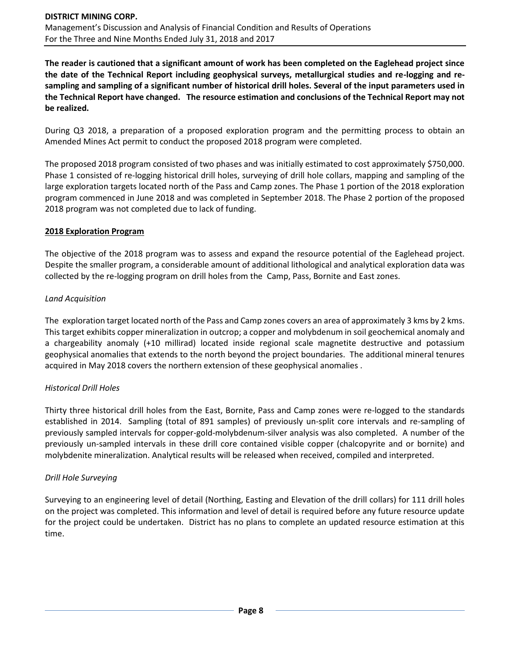**The reader is cautioned that a significant amount of work has been completed on the Eaglehead project since the date of the Technical Report including geophysical surveys, metallurgical studies and re-logging and resampling and sampling of a significant number of historical drill holes. Several of the input parameters used in the Technical Report have changed. The resource estimation and conclusions of the Technical Report may not be realized.** 

During Q3 2018, a preparation of a proposed exploration program and the permitting process to obtain an Amended Mines Act permit to conduct the proposed 2018 program were completed.

The proposed 2018 program consisted of two phases and was initially estimated to cost approximately \$750,000. Phase 1 consisted of re-logging historical drill holes, surveying of drill hole collars, mapping and sampling of the large exploration targets located north of the Pass and Camp zones. The Phase 1 portion of the 2018 exploration program commenced in June 2018 and was completed in September 2018. The Phase 2 portion of the proposed 2018 program was not completed due to lack of funding.

#### **2018 Exploration Program**

The objective of the 2018 program was to assess and expand the resource potential of the Eaglehead project. Despite the smaller program, a considerable amount of additional lithological and analytical exploration data was collected by the re-logging program on drill holes from the Camp, Pass, Bornite and East zones.

#### *Land Acquisition*

The exploration target located north of the Pass and Camp zones covers an area of approximately 3 kms by 2 kms. This target exhibits copper mineralization in outcrop; a copper and molybdenum in soil geochemical anomaly and a chargeability anomaly (+10 millirad) located inside regional scale magnetite destructive and potassium geophysical anomalies that extends to the north beyond the project boundaries. The additional mineral tenures acquired in May 2018 covers the northern extension of these geophysical anomalies .

#### *Historical Drill Holes*

Thirty three historical drill holes from the East, Bornite, Pass and Camp zones were re-logged to the standards established in 2014. Sampling (total of 891 samples) of previously un-split core intervals and re-sampling of previously sampled intervals for copper-gold-molybdenum-silver analysis was also completed. A number of the previously un-sampled intervals in these drill core contained visible copper (chalcopyrite and or bornite) and molybdenite mineralization. Analytical results will be released when received, compiled and interpreted.

#### *Drill Hole Surveying*

Surveying to an engineering level of detail (Northing, Easting and Elevation of the drill collars) for 111 drill holes on the project was completed. This information and level of detail is required before any future resource update for the project could be undertaken. District has no plans to complete an updated resource estimation at this time.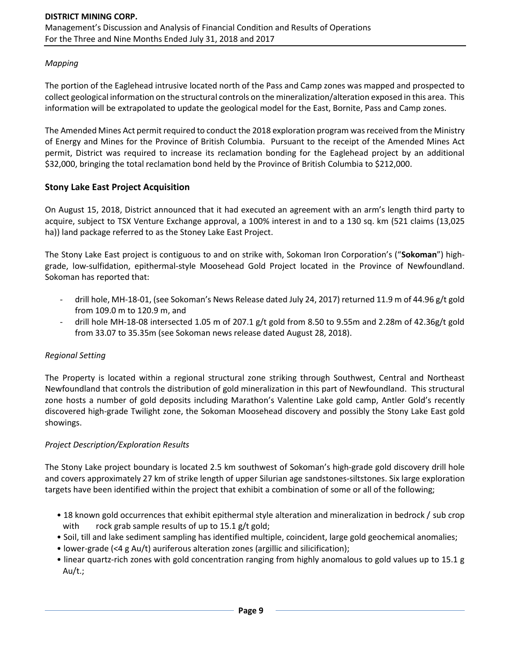### *Mapping*

The portion of the Eaglehead intrusive located north of the Pass and Camp zones was mapped and prospected to collect geological information on the structural controls on the mineralization/alteration exposed in this area. This information will be extrapolated to update the geological model for the East, Bornite, Pass and Camp zones.

The Amended Mines Act permit required to conduct the 2018 exploration program was received from the Ministry of Energy and Mines for the Province of British Columbia. Pursuant to the receipt of the Amended Mines Act permit, District was required to increase its reclamation bonding for the Eaglehead project by an additional \$32,000, bringing the total reclamation bond held by the Province of British Columbia to \$212,000.

### **Stony Lake East Project Acquisition**

On August 15, 2018, District announced that it had executed an agreement with an arm's length third party to acquire, subject to TSX Venture Exchange approval, a 100% interest in and to a 130 sq. km (521 claims (13,025 ha)) land package referred to as the Stoney Lake East Project.

The Stony Lake East project is contiguous to and on strike with, Sokoman Iron Corporation's ("**Sokoman**") highgrade, low-sulfidation, epithermal-style Moosehead Gold Project located in the Province of Newfoundland. Sokoman has reported that:

- drill hole, MH-18-01, (see Sokoman's News Release dated July 24, 2017) returned 11.9 m of 44.96 g/t gold from 109.0 m to 120.9 m, and
- drill hole MH-18-08 intersected 1.05 m of 207.1 g/t gold from 8.50 to 9.55m and 2.28m of 42.36g/t gold from 33.07 to 35.35m (see Sokoman news release dated August 28, 2018).

#### *Regional Setting*

The Property is located within a regional structural zone striking through Southwest, Central and Northeast Newfoundland that controls the distribution of gold mineralization in this part of Newfoundland. This structural zone hosts a number of gold deposits including Marathon's Valentine Lake gold camp, Antler Gold's recently discovered high-grade Twilight zone, the Sokoman Moosehead discovery and possibly the Stony Lake East gold showings.

#### *Project Description/Exploration Results*

The Stony Lake project boundary is located 2.5 km southwest of Sokoman's high-grade gold discovery drill hole and covers approximately 27 km of strike length of upper Silurian age sandstones-siltstones. Six large exploration targets have been identified within the project that exhibit a combination of some or all of the following;

- 18 known gold occurrences that exhibit epithermal style alteration and mineralization in bedrock / sub crop with rock grab sample results of up to 15.1 g/t gold;
- Soil, till and lake sediment sampling has identified multiple, coincident, large gold geochemical anomalies;
- lower-grade (<4 g Au/t) auriferous alteration zones (argillic and silicification);
- linear quartz-rich zones with gold concentration ranging from highly anomalous to gold values up to 15.1 g Au/t.;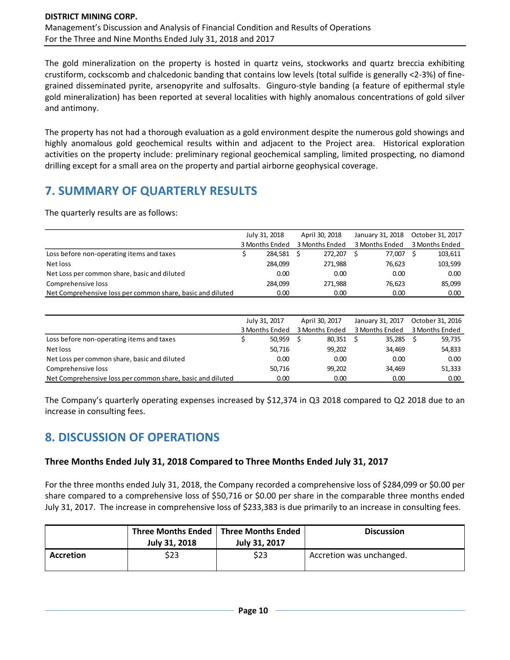The gold mineralization on the property is hosted in quartz veins, stockworks and quartz breccia exhibiting crustiform, cockscomb and chalcedonic banding that contains low levels (total sulfide is generally <2-3%) of finegrained disseminated pyrite, arsenopyrite and sulfosalts. Ginguro-style banding (a feature of epithermal style gold mineralization) has been reported at several localities with highly anomalous concentrations of gold silver and antimony.

The property has not had a thorough evaluation as a gold environment despite the numerous gold showings and highly anomalous gold geochemical results within and adjacent to the Project area. Historical exploration activities on the property include: preliminary regional geochemical sampling, limited prospecting, no diamond drilling except for a small area on the property and partial airborne geophysical coverage.

# **7. SUMMARY OF QUARTERLY RESULTS**

The quarterly results are as follows:

|                                                            | July 31, 2018  |         | April 30, 2018 |                | January 31, 2018 |                | October 31, 2017 |                |
|------------------------------------------------------------|----------------|---------|----------------|----------------|------------------|----------------|------------------|----------------|
|                                                            | 3 Months Ended |         |                | 3 Months Ended |                  | 3 Months Ended |                  | 3 Months Ended |
| Loss before non-operating items and taxes                  |                | 284.581 |                | 272.207        |                  | 77.007         |                  | 103,611        |
| Net loss                                                   |                | 284.099 |                | 271.988        |                  | 76.623         |                  | 103,599        |
| Net Loss per common share, basic and diluted               |                | 0.00    |                | 0.00           |                  | 0.00           |                  | 0.00           |
| Comprehensive loss                                         |                | 284.099 |                | 271.988        |                  | 76.623         |                  | 85.099         |
| Net Comprehensive loss per common share, basic and diluted |                | 0.00    |                | 0.00           |                  | 0.00           |                  | 0.00           |

|                                                            | July 31, 2017  | April 30, 2017 | January 31, 2017 | October 31, 2016 |  |
|------------------------------------------------------------|----------------|----------------|------------------|------------------|--|
|                                                            | 3 Months Ended | 3 Months Ended | 3 Months Ended   | 3 Months Ended   |  |
| Loss before non-operating items and taxes                  | 50,959         | 80,351         | 35,285           | 59,735           |  |
| Net loss                                                   | 50,716         | 99,202         | 34,469           | 54,833           |  |
| Net Loss per common share, basic and diluted               | 0.00           | 0.00           | 0.00             | 0.00             |  |
| Comprehensive loss                                         | 50,716         | 99,202         | 34,469           | 51,333           |  |
| Net Comprehensive loss per common share, basic and diluted | 0.00           | 0.00           | 0.00             | 0.00             |  |

The Company's quarterly operating expenses increased by \$12,374 in Q3 2018 compared to Q2 2018 due to an increase in consulting fees.

## **8. DISCUSSION OF OPERATIONS**

## **Three Months Ended July 31, 2018 Compared to Three Months Ended July 31, 2017**

For the three months ended July 31, 2018, the Company recorded a comprehensive loss of \$284,099 or \$0.00 per share compared to a comprehensive loss of \$50,716 or \$0.00 per share in the comparable three months ended July 31, 2017. The increase in comprehensive loss of \$233,383 is due primarily to an increase in consulting fees.

|                  | July 31, 2018 | Three Months Ended   Three Months Ended<br>July 31, 2017 | <b>Discussion</b>        |
|------------------|---------------|----------------------------------------------------------|--------------------------|
| <b>Accretion</b> | \$23          | \$23                                                     | Accretion was unchanged. |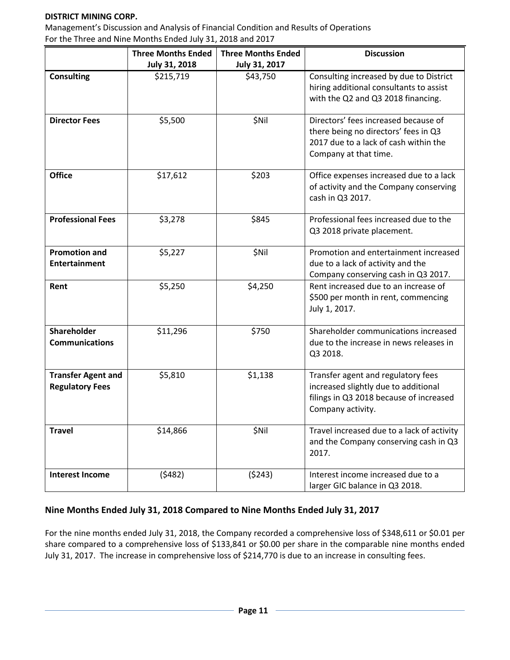#### **DISTRICT MINING CORP.**

Management's Discussion and Analysis of Financial Condition and Results of Operations For the Three and Nine Months Ended July 31, 2018 and 2017

|                                                     | <b>Three Months Ended</b> | <b>Three Months Ended</b> | <b>Discussion</b>                                                                                                                              |
|-----------------------------------------------------|---------------------------|---------------------------|------------------------------------------------------------------------------------------------------------------------------------------------|
|                                                     | July 31, 2018             | July 31, 2017             |                                                                                                                                                |
| <b>Consulting</b>                                   | \$215,719                 | \$43,750                  | Consulting increased by due to District<br>hiring additional consultants to assist<br>with the Q2 and Q3 2018 financing.                       |
| <b>Director Fees</b>                                | \$5,500                   | \$Nil                     | Directors' fees increased because of<br>there being no directors' fees in Q3<br>2017 due to a lack of cash within the<br>Company at that time. |
| <b>Office</b>                                       | \$17,612                  | \$203                     | Office expenses increased due to a lack<br>of activity and the Company conserving<br>cash in Q3 2017.                                          |
| <b>Professional Fees</b>                            | \$3,278                   | \$845                     | Professional fees increased due to the<br>Q3 2018 private placement.                                                                           |
| <b>Promotion and</b><br><b>Entertainment</b>        | \$5,227                   | \$Nil                     | Promotion and entertainment increased<br>due to a lack of activity and the<br>Company conserving cash in Q3 2017.                              |
| Rent                                                | \$5,250                   | \$4,250                   | Rent increased due to an increase of<br>\$500 per month in rent, commencing<br>July 1, 2017.                                                   |
| Shareholder<br><b>Communications</b>                | \$11,296                  | \$750                     | Shareholder communications increased<br>due to the increase in news releases in<br>Q3 2018.                                                    |
| <b>Transfer Agent and</b><br><b>Regulatory Fees</b> | \$5,810                   | \$1,138                   | Transfer agent and regulatory fees<br>increased slightly due to additional<br>filings in Q3 2018 because of increased<br>Company activity.     |
| <b>Travel</b>                                       | \$14,866                  | \$Nil                     | Travel increased due to a lack of activity<br>and the Company conserving cash in Q3<br>2017.                                                   |
| <b>Interest Income</b>                              | (5482)                    | (5243)                    | Interest income increased due to a<br>larger GIC balance in Q3 2018.                                                                           |

## **Nine Months Ended July 31, 2018 Compared to Nine Months Ended July 31, 2017**

For the nine months ended July 31, 2018, the Company recorded a comprehensive loss of \$348,611 or \$0.01 per share compared to a comprehensive loss of \$133,841 or \$0.00 per share in the comparable nine months ended July 31, 2017. The increase in comprehensive loss of \$214,770 is due to an increase in consulting fees.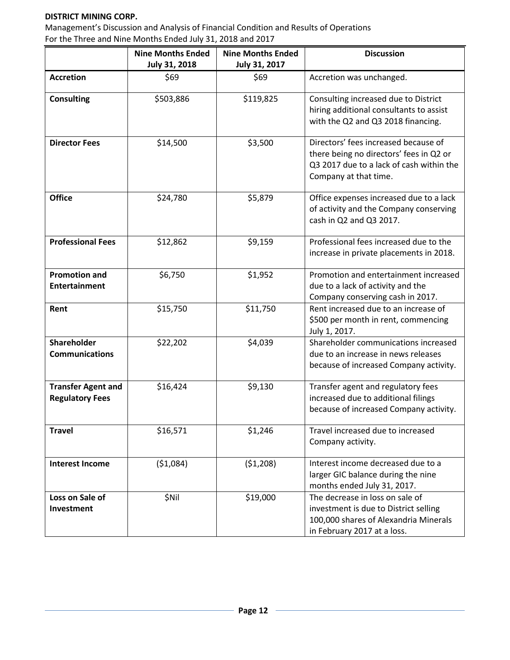#### **DISTRICT MINING CORP.**

Management's Discussion and Analysis of Financial Condition and Results of Operations For the Three and Nine Months Ended July 31, 2018 and 2017

|                                                     | <b>Nine Months Ended</b><br>July 31, 2018 | <b>Nine Months Ended</b><br>July 31, 2017 | <b>Discussion</b>                                                                                                                                    |
|-----------------------------------------------------|-------------------------------------------|-------------------------------------------|------------------------------------------------------------------------------------------------------------------------------------------------------|
| <b>Accretion</b>                                    | \$69                                      | \$69                                      | Accretion was unchanged.                                                                                                                             |
| <b>Consulting</b>                                   | \$503,886                                 | \$119,825                                 | Consulting increased due to District<br>hiring additional consultants to assist<br>with the Q2 and Q3 2018 financing.                                |
| <b>Director Fees</b>                                | \$14,500                                  | \$3,500                                   | Directors' fees increased because of<br>there being no directors' fees in Q2 or<br>Q3 2017 due to a lack of cash within the<br>Company at that time. |
| <b>Office</b>                                       | \$24,780                                  | \$5,879                                   | Office expenses increased due to a lack<br>of activity and the Company conserving<br>cash in Q2 and Q3 2017.                                         |
| <b>Professional Fees</b>                            | \$12,862                                  | \$9,159                                   | Professional fees increased due to the<br>increase in private placements in 2018.                                                                    |
| <b>Promotion and</b><br><b>Entertainment</b>        | \$6,750                                   | \$1,952                                   | Promotion and entertainment increased<br>due to a lack of activity and the<br>Company conserving cash in 2017.                                       |
| Rent                                                | \$15,750                                  | \$11,750                                  | Rent increased due to an increase of<br>\$500 per month in rent, commencing<br>July 1, 2017.                                                         |
| Shareholder<br><b>Communications</b>                | \$22,202                                  | \$4,039                                   | Shareholder communications increased<br>due to an increase in news releases<br>because of increased Company activity.                                |
| <b>Transfer Agent and</b><br><b>Regulatory Fees</b> | \$16,424                                  | \$9,130                                   | Transfer agent and regulatory fees<br>increased due to additional filings<br>because of increased Company activity.                                  |
| <b>Travel</b>                                       | \$16,571                                  | \$1,246                                   | Travel increased due to increased<br>Company activity.                                                                                               |
| <b>Interest Income</b>                              | ( \$1,084)                                | (51,208)                                  | Interest income decreased due to a<br>larger GIC balance during the nine<br>months ended July 31, 2017.                                              |
| Loss on Sale of<br>Investment                       | \$Nil                                     | \$19,000                                  | The decrease in loss on sale of<br>investment is due to District selling<br>100,000 shares of Alexandria Minerals<br>in February 2017 at a loss.     |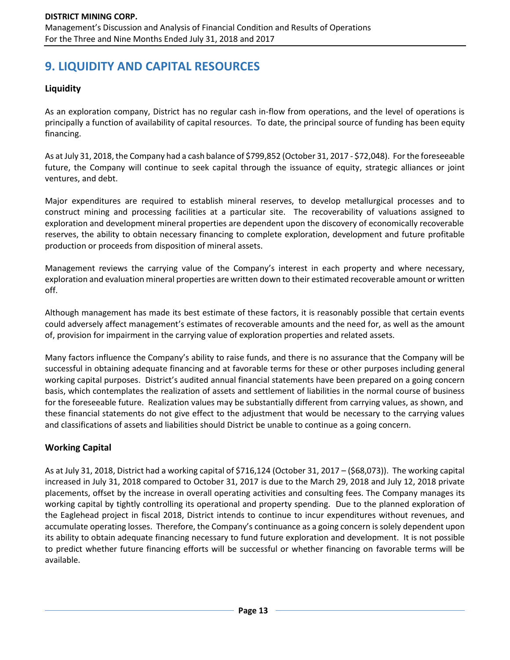# **9. LIQUIDITY AND CAPITAL RESOURCES**

## **Liquidity**

As an exploration company, District has no regular cash in-flow from operations, and the level of operations is principally a function of availability of capital resources. To date, the principal source of funding has been equity financing.

As at July 31, 2018,the Company had a cash balance of \$799,852 (October 31, 2017 - \$72,048). For the foreseeable future, the Company will continue to seek capital through the issuance of equity, strategic alliances or joint ventures, and debt.

Major expenditures are required to establish mineral reserves, to develop metallurgical processes and to construct mining and processing facilities at a particular site. The recoverability of valuations assigned to exploration and development mineral properties are dependent upon the discovery of economically recoverable reserves, the ability to obtain necessary financing to complete exploration, development and future profitable production or proceeds from disposition of mineral assets.

Management reviews the carrying value of the Company's interest in each property and where necessary, exploration and evaluation mineral properties are written down to their estimated recoverable amount or written off.

Although management has made its best estimate of these factors, it is reasonably possible that certain events could adversely affect management's estimates of recoverable amounts and the need for, as well as the amount of, provision for impairment in the carrying value of exploration properties and related assets.

Many factors influence the Company's ability to raise funds, and there is no assurance that the Company will be successful in obtaining adequate financing and at favorable terms for these or other purposes including general working capital purposes. District's audited annual financial statements have been prepared on a going concern basis, which contemplates the realization of assets and settlement of liabilities in the normal course of business for the foreseeable future. Realization values may be substantially different from carrying values, as shown, and these financial statements do not give effect to the adjustment that would be necessary to the carrying values and classifications of assets and liabilities should District be unable to continue as a going concern.

## **Working Capital**

As at July 31, 2018, District had a working capital of \$716,124 (October 31, 2017 – (\$68,073)). The working capital increased in July 31, 2018 compared to October 31, 2017 is due to the March 29, 2018 and July 12, 2018 private placements, offset by the increase in overall operating activities and consulting fees. The Company manages its working capital by tightly controlling its operational and property spending. Due to the planned exploration of the Eaglehead project in fiscal 2018, District intends to continue to incur expenditures without revenues, and accumulate operating losses. Therefore, the Company's continuance as a going concern is solely dependent upon its ability to obtain adequate financing necessary to fund future exploration and development. It is not possible to predict whether future financing efforts will be successful or whether financing on favorable terms will be available.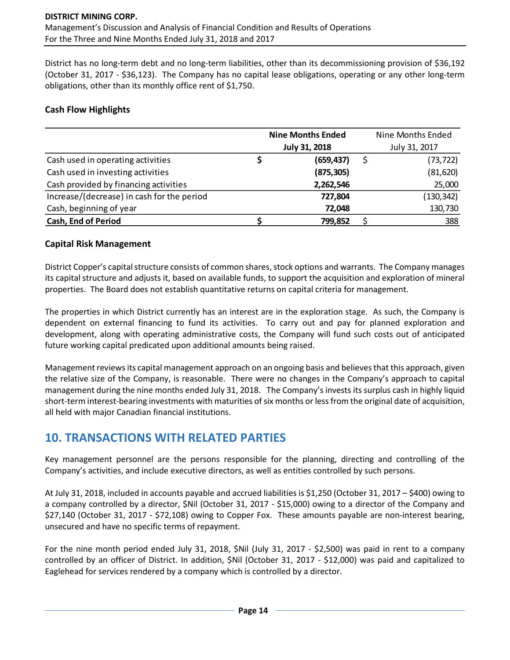District has no long-term debt and no long-term liabilities, other than its decommissioning provision of \$36,192 (October 31, 2017 - \$36,123). The Company has no capital lease obligations, operating or any other long-term obligations, other than its monthly office rent of \$1,750.

### **Cash Flow Highlights**

|                                            | <b>Nine Months Ended</b> |                      | Nine Months Ended |
|--------------------------------------------|--------------------------|----------------------|-------------------|
|                                            |                          | <b>July 31, 2018</b> | July 31, 2017     |
| Cash used in operating activities          |                          | (659, 437)           | (73, 722)         |
| Cash used in investing activities          |                          | (875, 305)           | (81, 620)         |
| Cash provided by financing activities      |                          | 2,262,546            | 25,000            |
| Increase/(decrease) in cash for the period |                          | 727,804              | (130, 342)        |
| Cash, beginning of year                    |                          | 72,048               | 130,730           |
| <b>Cash, End of Period</b>                 |                          | 799,852              | 388               |

#### **Capital Risk Management**

District Copper's capital structure consists of common shares, stock options and warrants. The Company manages its capital structure and adjusts it, based on available funds, to support the acquisition and exploration of mineral properties. The Board does not establish quantitative returns on capital criteria for management.

The properties in which District currently has an interest are in the exploration stage. As such, the Company is dependent on external financing to fund its activities. To carry out and pay for planned exploration and development, along with operating administrative costs, the Company will fund such costs out of anticipated future working capital predicated upon additional amounts being raised.

Management reviews its capital management approach on an ongoing basis and believes that this approach, given the relative size of the Company, is reasonable. There were no changes in the Company's approach to capital management during the nine months ended July 31, 2018. The Company's invests its surplus cash in highly liquid short-term interest-bearing investments with maturities of six months or less from the original date of acquisition, all held with major Canadian financial institutions.

## **10. TRANSACTIONS WITH RELATED PARTIES**

Key management personnel are the persons responsible for the planning, directing and controlling of the Company's activities, and include executive directors, as well as entities controlled by such persons.

At July 31, 2018, included in accounts payable and accrued liabilities is \$1,250 (October 31, 2017 – \$400) owing to a company controlled by a director, \$Nil (October 31, 2017 - \$15,000) owing to a director of the Company and \$27,140 (October 31, 2017 - \$72,108) owing to Copper Fox. These amounts payable are non-interest bearing, unsecured and have no specific terms of repayment.

For the nine month period ended July 31, 2018, \$Nil (July 31, 2017 - \$2,500) was paid in rent to a company controlled by an officer of District. In addition, \$Nil (October 31, 2017 - \$12,000) was paid and capitalized to Eaglehead for services rendered by a company which is controlled by a director.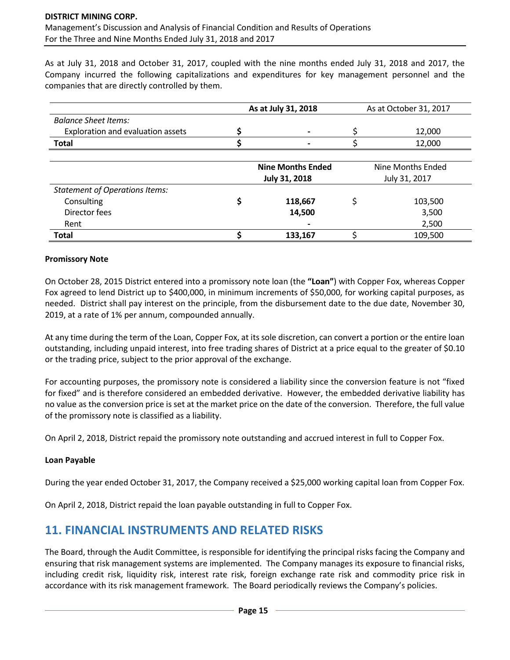As at July 31, 2018 and October 31, 2017, coupled with the nine months ended July 31, 2018 and 2017, the Company incurred the following capitalizations and expenditures for key management personnel and the companies that are directly controlled by them.

|                                       | As at July 31, 2018                       |         |   | As at October 31, 2017             |
|---------------------------------------|-------------------------------------------|---------|---|------------------------------------|
| <b>Balance Sheet Items:</b>           |                                           |         |   |                                    |
| Exploration and evaluation assets     |                                           |         |   | 12,000                             |
| <b>Total</b>                          |                                           |         |   | 12,000                             |
|                                       |                                           |         |   |                                    |
|                                       | <b>Nine Months Ended</b><br>July 31, 2018 |         |   | Nine Months Ended<br>July 31, 2017 |
| <b>Statement of Operations Items:</b> |                                           |         |   |                                    |
| Consulting                            |                                           | 118,667 | Ś | 103,500                            |
| Director fees                         |                                           | 14,500  |   | 3,500                              |
| Rent                                  |                                           |         |   | 2,500                              |
| <b>Total</b>                          |                                           | 133.167 |   | 109,500                            |

#### **Promissory Note**

On October 28, 2015 District entered into a promissory note loan (the **"Loan"**) with Copper Fox, whereas Copper Fox agreed to lend District up to \$400,000, in minimum increments of \$50,000, for working capital purposes, as needed. District shall pay interest on the principle, from the disbursement date to the due date, November 30, 2019, at a rate of 1% per annum, compounded annually.

At any time during the term of the Loan, Copper Fox, at its sole discretion, can convert a portion or the entire loan outstanding, including unpaid interest, into free trading shares of District at a price equal to the greater of \$0.10 or the trading price, subject to the prior approval of the exchange.

For accounting purposes, the promissory note is considered a liability since the conversion feature is not "fixed for fixed" and is therefore considered an embedded derivative. However, the embedded derivative liability has no value as the conversion price is set at the market price on the date of the conversion. Therefore, the full value of the promissory note is classified as a liability.

On April 2, 2018, District repaid the promissory note outstanding and accrued interest in full to Copper Fox.

#### **Loan Payable**

During the year ended October 31, 2017, the Company received a \$25,000 working capital loan from Copper Fox.

On April 2, 2018, District repaid the loan payable outstanding in full to Copper Fox.

## **11. FINANCIAL INSTRUMENTS AND RELATED RISKS**

The Board, through the Audit Committee, is responsible for identifying the principal risks facing the Company and ensuring that risk management systems are implemented. The Company manages its exposure to financial risks, including credit risk, liquidity risk, interest rate risk, foreign exchange rate risk and commodity price risk in accordance with its risk management framework. The Board periodically reviews the Company's policies.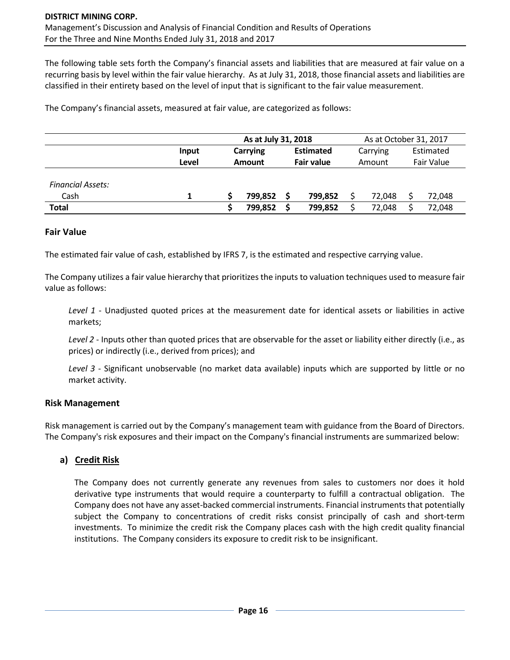The following table sets forth the Company's financial assets and liabilities that are measured at fair value on a recurring basis by level within the fair value hierarchy. As at July 31, 2018, those financial assets and liabilities are classified in their entirety based on the level of input that is significant to the fair value measurement.

The Company's financial assets, measured at fair value, are categorized as follows:

|                          |       | As at July 31, 2018 |         |                   |         |          | As at October 31, 2017 |            |        |  |  |
|--------------------------|-------|---------------------|---------|-------------------|---------|----------|------------------------|------------|--------|--|--|
|                          | Input | <b>Carrying</b>     |         | <b>Estimated</b>  |         | Carrying |                        | Estimated  |        |  |  |
|                          | Level | <b>Amount</b>       |         | <b>Fair value</b> |         | Amount   |                        | Fair Value |        |  |  |
|                          |       |                     |         |                   |         |          |                        |            |        |  |  |
| <b>Financial Assets:</b> |       |                     |         |                   |         |          |                        |            |        |  |  |
| Cash                     |       |                     | 799,852 |                   | 799,852 |          | 72.048                 |            | 72,048 |  |  |
| <b>Total</b>             |       |                     | 799,852 |                   | 799,852 |          | 72.048                 |            | 72,048 |  |  |

#### **Fair Value**

The estimated fair value of cash, established by IFRS 7, is the estimated and respective carrying value.

The Company utilizes a fair value hierarchy that prioritizes the inputs to valuation techniques used to measure fair value as follows:

*Level 1* - Unadjusted quoted prices at the measurement date for identical assets or liabilities in active markets;

*Level 2* - Inputs other than quoted prices that are observable for the asset or liability either directly (i.e., as prices) or indirectly (i.e., derived from prices); and

*Level 3* - Significant unobservable (no market data available) inputs which are supported by little or no market activity.

#### **Risk Management**

Risk management is carried out by the Company's management team with guidance from the Board of Directors. The Company's risk exposures and their impact on the Company's financial instruments are summarized below:

## **a) Credit Risk**

The Company does not currently generate any revenues from sales to customers nor does it hold derivative type instruments that would require a counterparty to fulfill a contractual obligation. The Company does not have any asset-backed commercial instruments. Financial instruments that potentially subject the Company to concentrations of credit risks consist principally of cash and short-term investments. To minimize the credit risk the Company places cash with the high credit quality financial institutions. The Company considers its exposure to credit risk to be insignificant.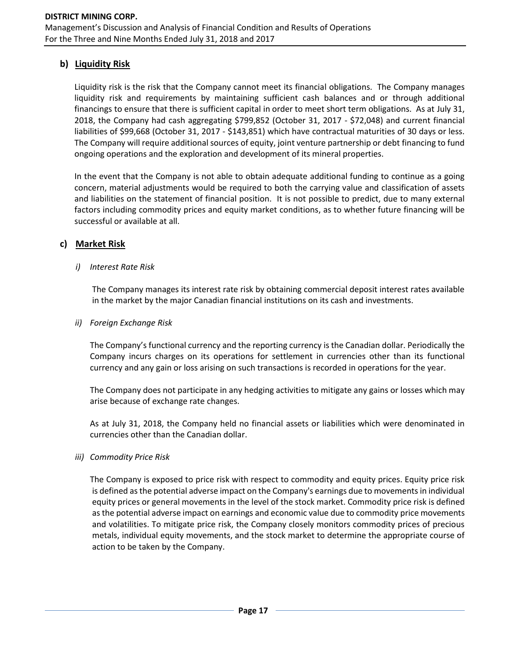## **b) Liquidity Risk**

Liquidity risk is the risk that the Company cannot meet its financial obligations. The Company manages liquidity risk and requirements by maintaining sufficient cash balances and or through additional financings to ensure that there is sufficient capital in order to meet short term obligations. As at July 31, 2018, the Company had cash aggregating \$799,852 (October 31, 2017 - \$72,048) and current financial liabilities of \$99,668 (October 31, 2017 - \$143,851) which have contractual maturities of 30 days or less. The Company will require additional sources of equity, joint venture partnership or debt financing to fund ongoing operations and the exploration and development of its mineral properties.

In the event that the Company is not able to obtain adequate additional funding to continue as a going concern, material adjustments would be required to both the carrying value and classification of assets and liabilities on the statement of financial position. It is not possible to predict, due to many external factors including commodity prices and equity market conditions, as to whether future financing will be successful or available at all.

### **c) Market Risk**

#### *i) Interest Rate Risk*

The Company manages its interest rate risk by obtaining commercial deposit interest rates available in the market by the major Canadian financial institutions on its cash and investments.

#### *ii) Foreign Exchange Risk*

The Company's functional currency and the reporting currency is the Canadian dollar. Periodically the Company incurs charges on its operations for settlement in currencies other than its functional currency and any gain or loss arising on such transactions is recorded in operations for the year.

The Company does not participate in any hedging activities to mitigate any gains or losses which may arise because of exchange rate changes.

As at July 31, 2018, the Company held no financial assets or liabilities which were denominated in currencies other than the Canadian dollar.

#### *iii) Commodity Price Risk*

The Company is exposed to price risk with respect to commodity and equity prices. Equity price risk is defined as the potential adverse impact on the Company's earnings due to movements in individual equity prices or general movements in the level of the stock market. Commodity price risk is defined as the potential adverse impact on earnings and economic value due to commodity price movements and volatilities. To mitigate price risk, the Company closely monitors commodity prices of precious metals, individual equity movements, and the stock market to determine the appropriate course of action to be taken by the Company.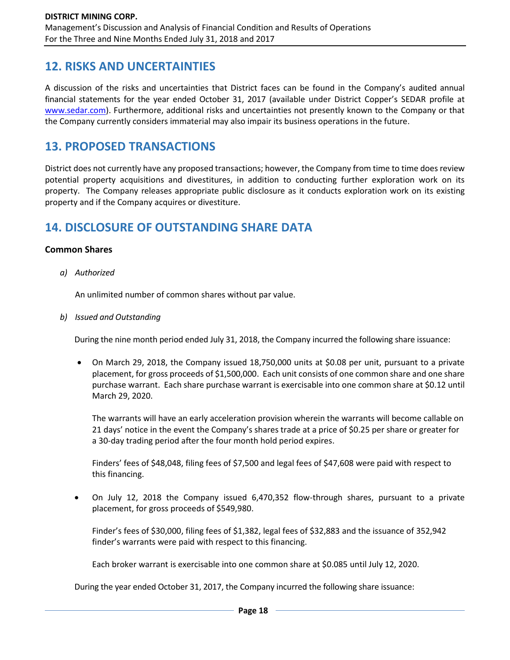## **12. RISKS AND UNCERTAINTIES**

A discussion of the risks and uncertainties that District faces can be found in the Company's audited annual financial statements for the year ended October 31, 2017 (available under District Copper's SEDAR profile at [www.sedar.com\)](http://www.sedar.com/). Furthermore, additional risks and uncertainties not presently known to the Company or that the Company currently considers immaterial may also impair its business operations in the future.

## **13. PROPOSED TRANSACTIONS**

District does not currently have any proposed transactions; however, the Company from time to time does review potential property acquisitions and divestitures, in addition to conducting further exploration work on its property. The Company releases appropriate public disclosure as it conducts exploration work on its existing property and if the Company acquires or divestiture.

## **14. DISCLOSURE OF OUTSTANDING SHARE DATA**

#### **Common Shares**

*a) Authorized*

An unlimited number of common shares without par value.

*b) Issued and Outstanding*

During the nine month period ended July 31, 2018, the Company incurred the following share issuance:

• On March 29, 2018, the Company issued 18,750,000 units at \$0.08 per unit, pursuant to a private placement, for gross proceeds of \$1,500,000. Each unit consists of one common share and one share purchase warrant. Each share purchase warrant is exercisable into one common share at \$0.12 until March 29, 2020.

The warrants will have an early acceleration provision wherein the warrants will become callable on 21 days' notice in the event the Company's shares trade at a price of \$0.25 per share or greater for a 30-day trading period after the four month hold period expires.

Finders' fees of \$48,048, filing fees of \$7,500 and legal fees of \$47,608 were paid with respect to this financing.

• On July 12, 2018 the Company issued 6,470,352 flow-through shares, pursuant to a private placement, for gross proceeds of \$549,980.

Finder's fees of \$30,000, filing fees of \$1,382, legal fees of \$32,883 and the issuance of 352,942 finder's warrants were paid with respect to this financing.

Each broker warrant is exercisable into one common share at \$0.085 until July 12, 2020.

During the year ended October 31, 2017, the Company incurred the following share issuance: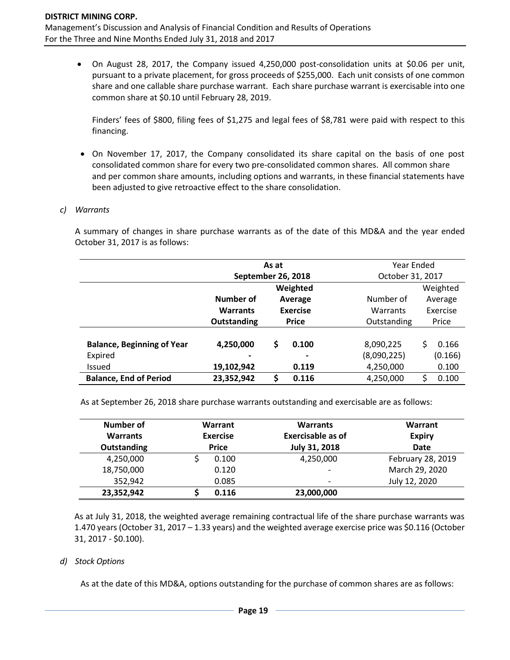• On August 28, 2017, the Company issued 4,250,000 post-consolidation units at \$0.06 per unit, pursuant to a private placement, for gross proceeds of \$255,000. Each unit consists of one common share and one callable share purchase warrant. Each share purchase warrant is exercisable into one common share at \$0.10 until February 28, 2019.

Finders' fees of \$800, filing fees of \$1,275 and legal fees of \$8,781 were paid with respect to this financing.

• On November 17, 2017, the Company consolidated its share capital on the basis of one post consolidated common share for every two pre-consolidated common shares. All common share and per common share amounts, including options and warrants, in these financial statements have been adjusted to give retroactive effect to the share consolidation.

#### *c) Warrants*

A summary of changes in share purchase warrants as of the date of this MD&A and the year ended October 31, 2017 is as follows:

|                                   |                    | As at                |                |                  | Year Ended |          |  |          |  |
|-----------------------------------|--------------------|----------------------|----------------|------------------|------------|----------|--|----------|--|
|                                   | September 26, 2018 |                      |                | October 31, 2017 |            |          |  |          |  |
|                                   | Weighted           |                      |                |                  |            | Weighted |  |          |  |
|                                   | Number of          | Number of<br>Average |                |                  |            | Average  |  |          |  |
|                                   | <b>Warrants</b>    | <b>Exercise</b>      |                | Warrants         |            |          |  | Exercise |  |
|                                   | Outstanding        | <b>Price</b>         |                | Outstanding      | Price      |          |  |          |  |
|                                   |                    |                      |                |                  |            |          |  |          |  |
| <b>Balance, Beginning of Year</b> | 4,250,000          | \$                   | 0.100          | 8,090,225        | Ś          | 0.166    |  |          |  |
| Expired                           |                    |                      | $\blacksquare$ | (8,090,225)      |            | (0.166)  |  |          |  |
| <b>Issued</b>                     | 19,102,942         |                      | 0.119          | 4,250,000        |            | 0.100    |  |          |  |
| <b>Balance, End of Period</b>     | 23,352,942         | \$                   | 0.116          | 4,250,000        |            | 0.100    |  |          |  |

As at September 26, 2018 share purchase warrants outstanding and exercisable are as follows:

| Number of       | Warrant<br><b>Exercise</b><br><b>Price</b> |       | <b>Warrants</b><br><b>Exercisable as of</b><br>July 31, 2018 | Warrant<br><b>Expiry</b><br><b>Date</b> |
|-----------------|--------------------------------------------|-------|--------------------------------------------------------------|-----------------------------------------|
| <b>Warrants</b> |                                            |       |                                                              |                                         |
| Outstanding     |                                            |       |                                                              |                                         |
| 4,250,000       |                                            | 0.100 | 4,250,000                                                    | February 28, 2019                       |
| 18,750,000      |                                            | 0.120 | $\overline{\phantom{0}}$                                     | March 29, 2020                          |
| 352,942         |                                            | 0.085 | $\overline{\phantom{0}}$                                     | July 12, 2020                           |
| 23,352,942      |                                            | 0.116 | 23,000,000                                                   |                                         |

As at July 31, 2018, the weighted average remaining contractual life of the share purchase warrants was 1.470 years (October 31, 2017 – 1.33 years) and the weighted average exercise price was \$0.116 (October 31, 2017 - \$0.100).

#### *d) Stock Options*

As at the date of this MD&A, options outstanding for the purchase of common shares are as follows: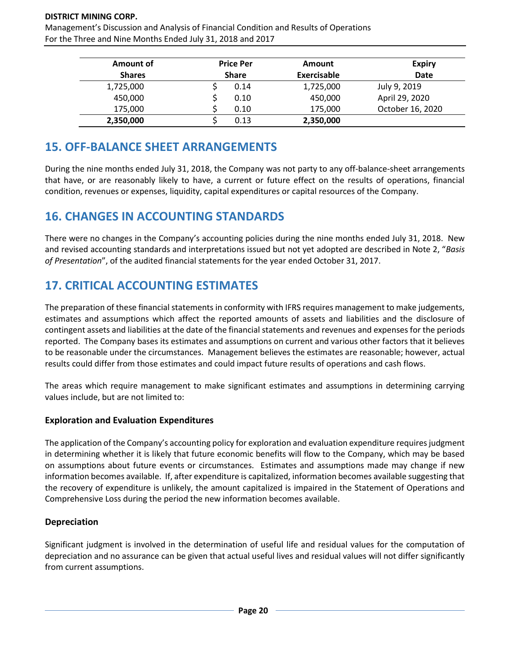#### **DISTRICT MINING CORP.**

Management's Discussion and Analysis of Financial Condition and Results of Operations For the Three and Nine Months Ended July 31, 2018 and 2017

| Amount of     | <b>Price Per</b><br><b>Share</b> |      | <b>Amount</b> | <b>Expiry</b>    |
|---------------|----------------------------------|------|---------------|------------------|
| <b>Shares</b> |                                  |      | Exercisable   | <b>Date</b>      |
| 1,725,000     |                                  | 0.14 | 1,725,000     | July 9, 2019     |
| 450,000       |                                  | 0.10 | 450,000       | April 29, 2020   |
| 175,000       |                                  | 0.10 | 175,000       | October 16, 2020 |
| 2,350,000     |                                  | 0.13 | 2,350,000     |                  |

## **15. OFF-BALANCE SHEET ARRANGEMENTS**

During the nine months ended July 31, 2018, the Company was not party to any off-balance-sheet arrangements that have, or are reasonably likely to have, a current or future effect on the results of operations, financial condition, revenues or expenses, liquidity, capital expenditures or capital resources of the Company.

## **16. CHANGES IN ACCOUNTING STANDARDS**

There were no changes in the Company's accounting policies during the nine months ended July 31, 2018. New and revised accounting standards and interpretations issued but not yet adopted are described in Note 2, "*Basis of Presentation*", of the audited financial statements for the year ended October 31, 2017.

## **17. CRITICAL ACCOUNTING ESTIMATES**

The preparation of these financial statements in conformity with IFRS requires management to make judgements, estimates and assumptions which affect the reported amounts of assets and liabilities and the disclosure of contingent assets and liabilities at the date of the financial statements and revenues and expenses for the periods reported. The Company bases its estimates and assumptions on current and various other factors that it believes to be reasonable under the circumstances. Management believes the estimates are reasonable; however, actual results could differ from those estimates and could impact future results of operations and cash flows.

The areas which require management to make significant estimates and assumptions in determining carrying values include, but are not limited to:

## **Exploration and Evaluation Expenditures**

The application of the Company's accounting policy for exploration and evaluation expenditure requires judgment in determining whether it is likely that future economic benefits will flow to the Company, which may be based on assumptions about future events or circumstances. Estimates and assumptions made may change if new information becomes available. If, after expenditure is capitalized, information becomes available suggesting that the recovery of expenditure is unlikely, the amount capitalized is impaired in the Statement of Operations and Comprehensive Loss during the period the new information becomes available.

## **Depreciation**

Significant judgment is involved in the determination of useful life and residual values for the computation of depreciation and no assurance can be given that actual useful lives and residual values will not differ significantly from current assumptions.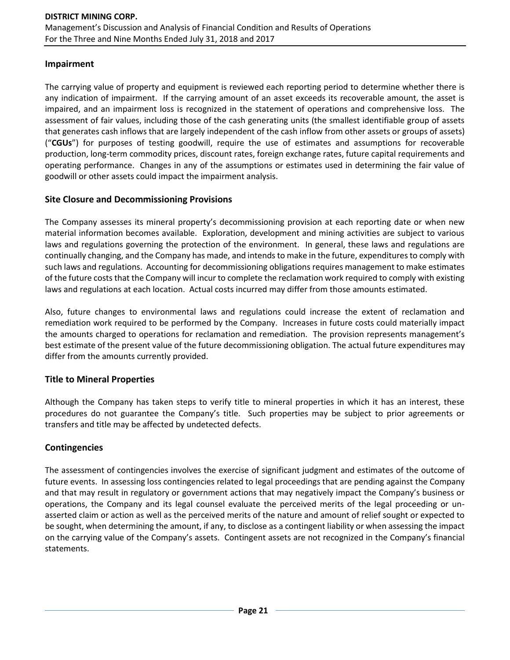### **Impairment**

The carrying value of property and equipment is reviewed each reporting period to determine whether there is any indication of impairment. If the carrying amount of an asset exceeds its recoverable amount, the asset is impaired, and an impairment loss is recognized in the statement of operations and comprehensive loss. The assessment of fair values, including those of the cash generating units (the smallest identifiable group of assets that generates cash inflows that are largely independent of the cash inflow from other assets or groups of assets) ("**CGUs**") for purposes of testing goodwill, require the use of estimates and assumptions for recoverable production, long-term commodity prices, discount rates, foreign exchange rates, future capital requirements and operating performance. Changes in any of the assumptions or estimates used in determining the fair value of goodwill or other assets could impact the impairment analysis.

## **Site Closure and Decommissioning Provisions**

The Company assesses its mineral property's decommissioning provision at each reporting date or when new material information becomes available. Exploration, development and mining activities are subject to various laws and regulations governing the protection of the environment. In general, these laws and regulations are continually changing, and the Company has made, and intends to make in the future, expenditures to comply with such laws and regulations. Accounting for decommissioning obligations requires management to make estimates of the future costs that the Company will incur to complete the reclamation work required to comply with existing laws and regulations at each location. Actual costs incurred may differ from those amounts estimated.

Also, future changes to environmental laws and regulations could increase the extent of reclamation and remediation work required to be performed by the Company. Increases in future costs could materially impact the amounts charged to operations for reclamation and remediation. The provision represents management's best estimate of the present value of the future decommissioning obligation. The actual future expenditures may differ from the amounts currently provided.

## **Title to Mineral Properties**

Although the Company has taken steps to verify title to mineral properties in which it has an interest, these procedures do not guarantee the Company's title. Such properties may be subject to prior agreements or transfers and title may be affected by undetected defects.

## **Contingencies**

The assessment of contingencies involves the exercise of significant judgment and estimates of the outcome of future events. In assessing loss contingencies related to legal proceedings that are pending against the Company and that may result in regulatory or government actions that may negatively impact the Company's business or operations, the Company and its legal counsel evaluate the perceived merits of the legal proceeding or unasserted claim or action as well as the perceived merits of the nature and amount of relief sought or expected to be sought, when determining the amount, if any, to disclose as a contingent liability or when assessing the impact on the carrying value of the Company's assets. Contingent assets are not recognized in the Company's financial statements.